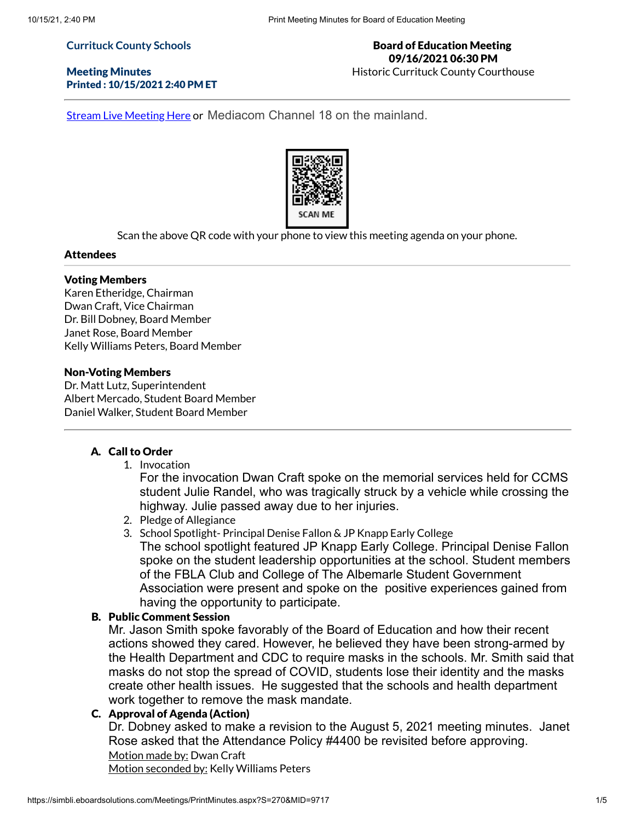#### **Currituck County Schools**

Meeting Minutes Printed : 10/15/2021 2:40 PM ET

### Board of Education Meeting 09/16/2021 06:30 PM Historic Currituck County Courthouse

Stream Live [Meeting](http://currituckcountync.iqm2.com/Citizens/default.aspx) Here or Mediacom Channel 18 on the mainland.



Scan the above QR code with your phone to view this meeting agenda on your phone.

#### Attendees

#### Voting Members

Karen Etheridge, Chairman Dwan Craft, Vice Chairman Dr. Bill Dobney, Board Member Janet Rose, Board Member Kelly Williams Peters, Board Member

#### Non-Voting Members

Dr. Matt Lutz, Superintendent Albert Mercado, Student Board Member Daniel Walker, Student Board Member

#### A. Call to Order

1. Invocation

For the invocation Dwan Craft spoke on the memorial services held for CCMS student Julie Randel, who was tragically struck by a vehicle while crossing the highway. Julie passed away due to her injuries.

- 2. Pledge of Allegiance
- 3. School Spotlight- Principal Denise Fallon & JP Knapp Early College The school spotlight featured JP Knapp Early College. Principal Denise Fallon spoke on the student leadership opportunities at the school. Student members of the FBLA Club and College of The Albemarle Student Government Association were present and spoke on the positive experiences gained from having the opportunity to participate.

### B. Public Comment Session

Mr. Jason Smith spoke favorably of the Board of Education and how their recent actions showed they cared. However, he believed they have been strong-armed by the Health Department and CDC to require masks in the schools. Mr. Smith said that masks do not stop the spread of COVID, students lose their identity and the masks create other health issues. He suggested that the schools and health department work together to remove the mask mandate.

# C. Approval of Agenda (Action)

Dr. Dobney asked to make a revision to the August 5, 2021 meeting minutes. Janet Rose asked that the Attendance Policy #4400 be revisited before approving. Motion made by: Dwan Craft Motion seconded by: Kelly Williams Peters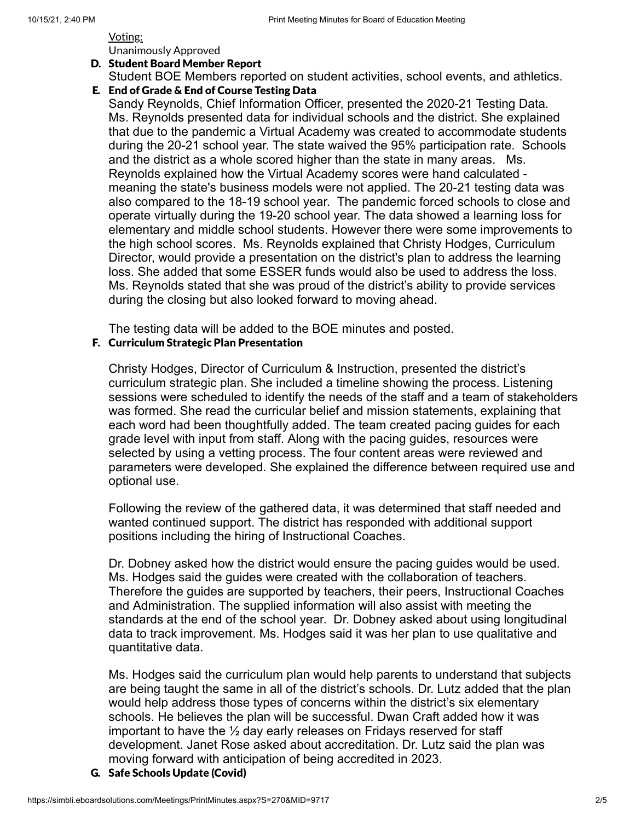## Voting: Unanimously Approved

#### D. Student Board Member Report

Student BOE Members reported on student activities, school events, and athletics.

# E. End of Grade & End of Course Testing Data

Sandy Reynolds, Chief Information Officer, presented the 2020-21 Testing Data. Ms. Reynolds presented data for individual schools and the district. She explained that due to the pandemic a Virtual Academy was created to accommodate students during the 20-21 school year. The state waived the 95% participation rate. Schools and the district as a whole scored higher than the state in many areas. Ms. Reynolds explained how the Virtual Academy scores were hand calculated meaning the state's business models were not applied. The 20-21 testing data was also compared to the 18-19 school year. The pandemic forced schools to close and operate virtually during the 19-20 school year. The data showed a learning loss for elementary and middle school students. However there were some improvements to the high school scores. Ms. Reynolds explained that Christy Hodges, Curriculum Director, would provide a presentation on the district's plan to address the learning loss. She added that some ESSER funds would also be used to address the loss. Ms. Reynolds stated that she was proud of the district's ability to provide services during the closing but also looked forward to moving ahead.

The testing data will be added to the BOE minutes and posted.

# F. Curriculum Strategic Plan Presentation

Christy Hodges, Director of Curriculum & Instruction, presented the district's curriculum strategic plan. She included a timeline showing the process. Listening sessions were scheduled to identify the needs of the staff and a team of stakeholders was formed. She read the curricular belief and mission statements, explaining that each word had been thoughtfully added. The team created pacing guides for each grade level with input from staff. Along with the pacing guides, resources were selected by using a vetting process. The four content areas were reviewed and parameters were developed. She explained the difference between required use and optional use.

Following the review of the gathered data, it was determined that staff needed and wanted continued support. The district has responded with additional support positions including the hiring of Instructional Coaches.

Dr. Dobney asked how the district would ensure the pacing guides would be used. Ms. Hodges said the guides were created with the collaboration of teachers. Therefore the guides are supported by teachers, their peers, Instructional Coaches and Administration. The supplied information will also assist with meeting the standards at the end of the school year. Dr. Dobney asked about using longitudinal data to track improvement. Ms. Hodges said it was her plan to use qualitative and quantitative data.

Ms. Hodges said the curriculum plan would help parents to understand that subjects are being taught the same in all of the district's schools. Dr. Lutz added that the plan would help address those types of concerns within the district's six elementary schools. He believes the plan will be successful. Dwan Craft added how it was important to have the  $\frac{1}{2}$  day early releases on Fridays reserved for staff development. Janet Rose asked about accreditation. Dr. Lutz said the plan was moving forward with anticipation of being accredited in 2023.

G. Safe Schools Update (Covid)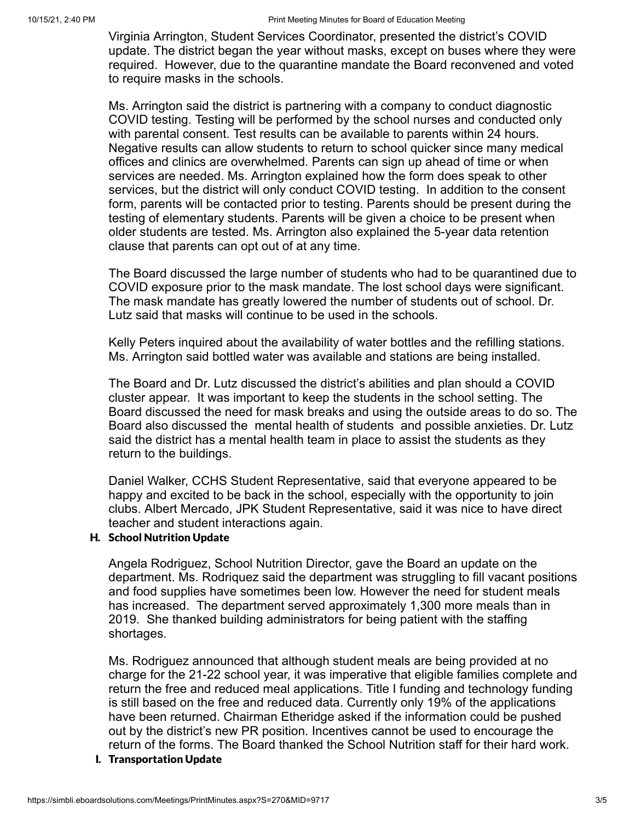Virginia Arrington, Student Services Coordinator, presented the district's COVID update. The district began the year without masks, except on buses where they were required. However, due to the quarantine mandate the Board reconvened and voted to require masks in the schools.

Ms. Arrington said the district is partnering with a company to conduct diagnostic COVID testing. Testing will be performed by the school nurses and conducted only with parental consent. Test results can be available to parents within 24 hours. Negative results can allow students to return to school quicker since many medical offices and clinics are overwhelmed. Parents can sign up ahead of time or when services are needed. Ms. Arrington explained how the form does speak to other services, but the district will only conduct COVID testing. In addition to the consent form, parents will be contacted prior to testing. Parents should be present during the testing of elementary students. Parents will be given a choice to be present when older students are tested. Ms. Arrington also explained the 5-year data retention clause that parents can opt out of at any time.

The Board discussed the large number of students who had to be quarantined due to COVID exposure prior to the mask mandate. The lost school days were significant. The mask mandate has greatly lowered the number of students out of school. Dr. Lutz said that masks will continue to be used in the schools.

Kelly Peters inquired about the availability of water bottles and the refilling stations. Ms. Arrington said bottled water was available and stations are being installed.

The Board and Dr. Lutz discussed the district's abilities and plan should a COVID cluster appear. It was important to keep the students in the school setting. The Board discussed the need for mask breaks and using the outside areas to do so. The Board also discussed the mental health of students and possible anxieties. Dr. Lutz said the district has a mental health team in place to assist the students as they return to the buildings.

Daniel Walker, CCHS Student Representative, said that everyone appeared to be happy and excited to be back in the school, especially with the opportunity to join clubs. Albert Mercado, JPK Student Representative, said it was nice to have direct teacher and student interactions again.

## H. School Nutrition Update

Angela Rodriguez, School Nutrition Director, gave the Board an update on the department. Ms. Rodriquez said the department was struggling to fill vacant positions and food supplies have sometimes been low. However the need for student meals has increased. The department served approximately 1,300 more meals than in 2019. She thanked building administrators for being patient with the staffing shortages.

Ms. Rodriguez announced that although student meals are being provided at no charge for the 21-22 school year, it was imperative that eligible families complete and return the free and reduced meal applications. Title I funding and technology funding is still based on the free and reduced data. Currently only 19% of the applications have been returned. Chairman Etheridge asked if the information could be pushed out by the district's new PR position. Incentives cannot be used to encourage the return of the forms. The Board thanked the School Nutrition staff for their hard work.

I. Transportation Update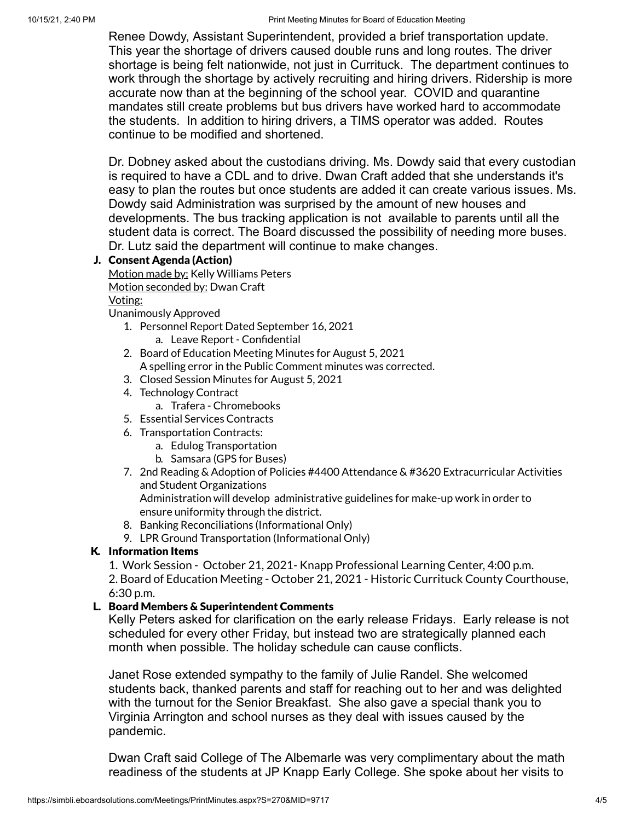Renee Dowdy, Assistant Superintendent, provided a brief transportation update. This year the shortage of drivers caused double runs and long routes. The driver shortage is being felt nationwide, not just in Currituck. The department continues to work through the shortage by actively recruiting and hiring drivers. Ridership is more accurate now than at the beginning of the school year. COVID and quarantine mandates still create problems but bus drivers have worked hard to accommodate the students. In addition to hiring drivers, a TIMS operator was added. Routes continue to be modified and shortened.

Dr. Dobney asked about the custodians driving. Ms. Dowdy said that every custodian is required to have a CDL and to drive. Dwan Craft added that she understands it's easy to plan the routes but once students are added it can create various issues. Ms. Dowdy said Administration was surprised by the amount of new houses and developments. The bus tracking application is not available to parents until all the student data is correct. The Board discussed the possibility of needing more buses. Dr. Lutz said the department will continue to make changes.

# J. Consent Agenda (Action)

Motion made by: Kelly Williams Peters Motion seconded by: Dwan Craft Voting:

Unanimously Approved

- 1. Personnel Report Dated September 16, 2021 a. Leave Report - Confidential
- 2. Board of Education Meeting Minutes for August 5, 2021
	- A spelling error in the Public Comment minutes was corrected.
- 3. Closed Session Minutes for August 5, 2021
- 4. Technology Contract
	- a. Trafera Chromebooks
- 5. Essential Services Contracts
- 6. Transportation Contracts:
	- a. Edulog Transportation
	- b. Samsara (GPS for Buses)
- 7. 2nd Reading & Adoption of Policies #4400 Attendance & #3620 Extracurricular Activities and Student Organizations Administration will develop administrative guidelines for make-up work in order to ensure uniformity through the district.
- 8. Banking Reconciliations (Informational Only)
- 9. LPR Ground Transportation (Informational Only)

# K. Information Items

1. Work Session - October 21, 2021- Knapp Professional Learning Center, 4:00 p.m.

2. Board of Education Meeting - October 21, 2021 - Historic Currituck County Courthouse, 6:30 p.m.

# L. Board Members & Superintendent Comments

Kelly Peters asked for clarification on the early release Fridays. Early release is not scheduled for every other Friday, but instead two are strategically planned each month when possible. The holiday schedule can cause conflicts.

Janet Rose extended sympathy to the family of Julie Randel. She welcomed students back, thanked parents and staff for reaching out to her and was delighted with the turnout for the Senior Breakfast. She also gave a special thank you to Virginia Arrington and school nurses as they deal with issues caused by the pandemic.

Dwan Craft said College of The Albemarle was very complimentary about the math readiness of the students at JP Knapp Early College. She spoke about her visits to